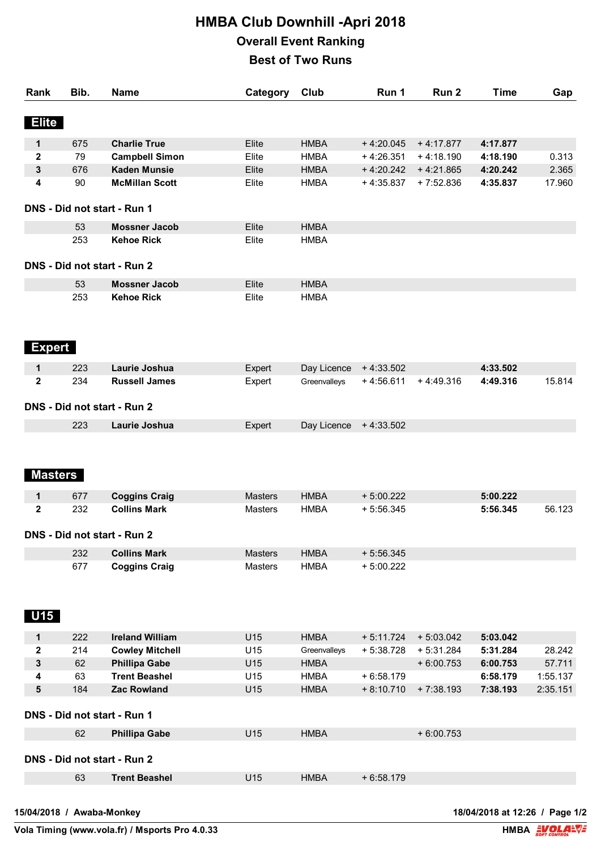## **HMBA Club Downhill -Apri 2018 Overall Event Ranking Best of Two Runs**

| Rank                        | Bib. | Name                        | Category       | Club                  | Run 1       | Run <sub>2</sub> | <b>Time</b> | Gap      |
|-----------------------------|------|-----------------------------|----------------|-----------------------|-------------|------------------|-------------|----------|
| <b>Elite</b>                |      |                             |                |                       |             |                  |             |          |
| $\mathbf 1$                 | 675  | <b>Charlie True</b>         | Elite          | <b>HMBA</b>           | $+4:20.045$ | $+4:17.877$      | 4:17.877    |          |
| 2                           | 79   | <b>Campbell Simon</b>       | Elite          | <b>HMBA</b>           | $+4:26.351$ | $+4:18.190$      | 4:18.190    | 0.313    |
| 3                           | 676  | <b>Kaden Munsie</b>         | Elite          | <b>HMBA</b>           | $+4:20.242$ | $+4:21.865$      | 4:20.242    | 2.365    |
| 4                           | 90   | <b>McMillan Scott</b>       | Elite          | <b>HMBA</b>           | $+4:35.837$ | $+7:52.836$      | 4:35.837    | 17.960   |
| DNS - Did not start - Run 1 |      |                             |                |                       |             |                  |             |          |
|                             | 53   | <b>Mossner Jacob</b>        | Elite          | <b>HMBA</b>           |             |                  |             |          |
|                             | 253  | <b>Kehoe Rick</b>           | Elite          | <b>HMBA</b>           |             |                  |             |          |
| DNS - Did not start - Run 2 |      |                             |                |                       |             |                  |             |          |
|                             | 53   | <b>Mossner Jacob</b>        | Elite          | <b>HMBA</b>           |             |                  |             |          |
|                             | 253  | <b>Kehoe Rick</b>           | Elite          | <b>HMBA</b>           |             |                  |             |          |
| <b>Expert</b>               |      |                             |                |                       |             |                  |             |          |
| 1                           | 223  | Laurie Joshua               | Expert         | Day Licence           | $+4:33.502$ |                  | 4:33.502    |          |
| 2                           | 234  | <b>Russell James</b>        | Expert         | Greenvalleys          | $+4:56.611$ | $+4:49.316$      | 4:49.316    | 15.814   |
|                             |      | DNS - Did not start - Run 2 |                |                       |             |                  |             |          |
|                             | 223  | Laurie Joshua               | Expert         | Day Licence +4:33.502 |             |                  |             |          |
| <b>Masters</b><br>1         | 677  | <b>Coggins Craig</b>        | <b>Masters</b> | <b>HMBA</b>           | $+5:00.222$ |                  | 5:00.222    |          |
| 2                           | 232  | <b>Collins Mark</b>         | Masters        | <b>HMBA</b>           | $+5:56.345$ |                  | 5:56.345    | 56.123   |
| DNS - Did not start - Run 2 |      |                             |                |                       |             |                  |             |          |
|                             | 232  | <b>Collins Mark</b>         | Masters        | <b>HMBA</b>           | $+5:56.345$ |                  |             |          |
|                             | 677  | <b>Coggins Craig</b>        | Masters        | <b>HMBA</b>           | $+5:00.222$ |                  |             |          |
| U15                         |      |                             |                |                       |             |                  |             |          |
| 1                           | 222  | <b>Ireland William</b>      | U15            | <b>HMBA</b>           | $+5:11.724$ | $+5:03.042$      | 5:03.042    |          |
| 2                           | 214  | <b>Cowley Mitchell</b>      | U15            | Greenvalleys          | $+5:38.728$ | $+5:31.284$      | 5:31.284    | 28.242   |
| 3                           | 62   | <b>Phillipa Gabe</b>        | U15            | <b>HMBA</b>           |             | $+6:00.753$      | 6:00.753    | 57.711   |
| 4                           | 63   | <b>Trent Beashel</b>        | U15            | <b>HMBA</b>           | $+6:58.179$ |                  | 6:58.179    | 1:55.137 |
| 5                           | 184  | <b>Zac Rowland</b>          | U15            | <b>HMBA</b>           | $+8:10.710$ | $+7:38.193$      | 7:38.193    | 2:35.151 |
| DNS - Did not start - Run 1 |      |                             |                |                       |             |                  |             |          |
|                             | 62   | <b>Phillipa Gabe</b>        | U15            | <b>HMBA</b>           |             | $+6:00.753$      |             |          |
|                             |      | DNS - Did not start - Run 2 |                |                       |             |                  |             |          |
|                             | 63   | <b>Trent Beashel</b>        | U15            | <b>HMBA</b>           | $+6:58.179$ |                  |             |          |

**Vola Timing (www.vola.fr) / Msports Pro 4.0.33** 

**15/04/2018 / Awaba-Monkey 18/04/2018 at 12:26 / Page 1/2**